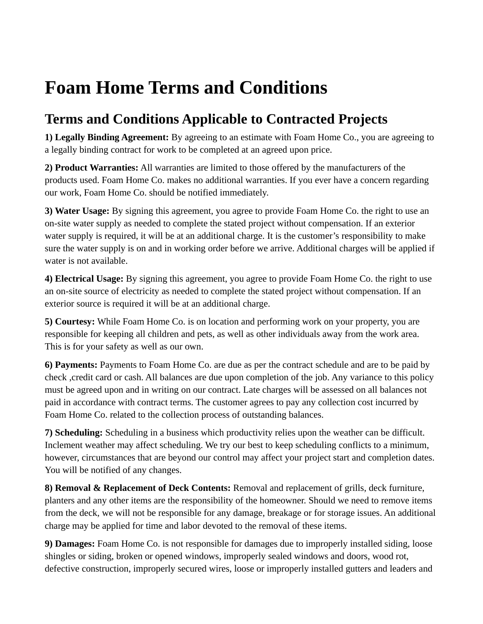## **Foam Home Terms and Conditions**

## **Terms and Conditions Applicable to Contracted Projects**

**1) Legally Binding Agreement:** By agreeing to an estimate with Foam Home Co., you are agreeing to a legally binding contract for work to be completed at an agreed upon price.

**2) Product Warranties:** All warranties are limited to those offered by the manufacturers of the products used. Foam Home Co. makes no additional warranties. If you ever have a concern regarding our work, Foam Home Co. should be notified immediately.

**3) Water Usage:** By signing this agreement, you agree to provide Foam Home Co. the right to use an on-site water supply as needed to complete the stated project without compensation. If an exterior water supply is required, it will be at an additional charge. It is the customer's responsibility to make sure the water supply is on and in working order before we arrive. Additional charges will be applied if water is not available.

**4) Electrical Usage:** By signing this agreement, you agree to provide Foam Home Co. the right to use an on-site source of electricity as needed to complete the stated project without compensation. If an exterior source is required it will be at an additional charge.

**5) Courtesy:** While Foam Home Co. is on location and performing work on your property, you are responsible for keeping all children and pets, as well as other individuals away from the work area. This is for your safety as well as our own.

**6) Payments:** Payments to Foam Home Co. are due as per the contract schedule and are to be paid by check ,credit card or cash. All balances are due upon completion of the job. Any variance to this policy must be agreed upon and in writing on our contract. Late charges will be assessed on all balances not paid in accordance with contract terms. The customer agrees to pay any collection cost incurred by Foam Home Co. related to the collection process of outstanding balances.

**7) Scheduling:** Scheduling in a business which productivity relies upon the weather can be difficult. Inclement weather may affect scheduling. We try our best to keep scheduling conflicts to a minimum, however, circumstances that are beyond our control may affect your project start and completion dates. You will be notified of any changes.

**8) Removal & Replacement of Deck Contents:** Removal and replacement of grills, deck furniture, planters and any other items are the responsibility of the homeowner. Should we need to remove items from the deck, we will not be responsible for any damage, breakage or for storage issues. An additional charge may be applied for time and labor devoted to the removal of these items.

**9) Damages:** Foam Home Co. is not responsible for damages due to improperly installed siding, loose shingles or siding, broken or opened windows, improperly sealed windows and doors, wood rot, defective construction, improperly secured wires, loose or improperly installed gutters and leaders and